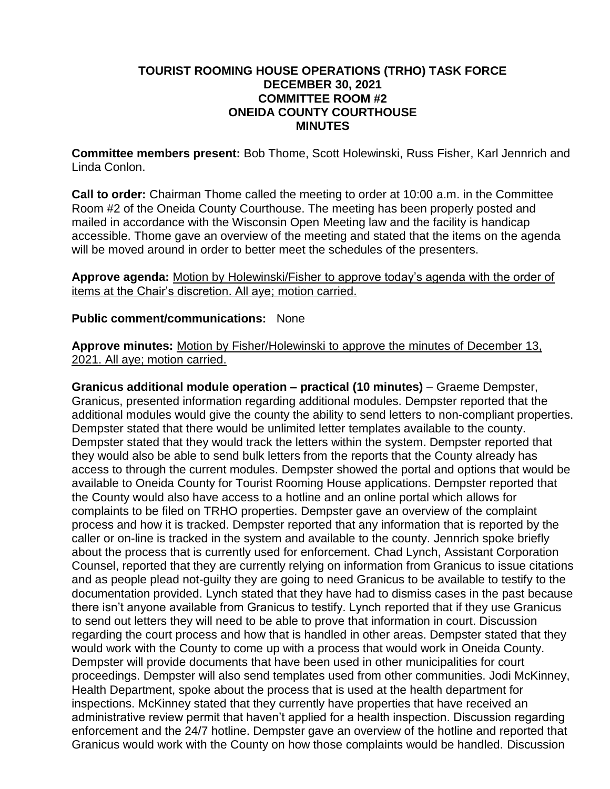## **TOURIST ROOMING HOUSE OPERATIONS (TRHO) TASK FORCE DECEMBER 30, 2021 COMMITTEE ROOM #2 ONEIDA COUNTY COURTHOUSE MINUTES**

**Committee members present:** Bob Thome, Scott Holewinski, Russ Fisher, Karl Jennrich and Linda Conlon.

**Call to order:** Chairman Thome called the meeting to order at 10:00 a.m. in the Committee Room #2 of the Oneida County Courthouse. The meeting has been properly posted and mailed in accordance with the Wisconsin Open Meeting law and the facility is handicap accessible. Thome gave an overview of the meeting and stated that the items on the agenda will be moved around in order to better meet the schedules of the presenters.

**Approve agenda:** Motion by Holewinski/Fisher to approve today's agenda with the order of items at the Chair's discretion. All aye; motion carried.

## **Public comment/communications:** None

**Approve minutes:** Motion by Fisher/Holewinski to approve the minutes of December 13, 2021. All aye; motion carried.

**Granicus additional module operation – practical (10 minutes)** – Graeme Dempster, Granicus, presented information regarding additional modules. Dempster reported that the additional modules would give the county the ability to send letters to non-compliant properties. Dempster stated that there would be unlimited letter templates available to the county. Dempster stated that they would track the letters within the system. Dempster reported that they would also be able to send bulk letters from the reports that the County already has access to through the current modules. Dempster showed the portal and options that would be available to Oneida County for Tourist Rooming House applications. Dempster reported that the County would also have access to a hotline and an online portal which allows for complaints to be filed on TRHO properties. Dempster gave an overview of the complaint process and how it is tracked. Dempster reported that any information that is reported by the caller or on-line is tracked in the system and available to the county. Jennrich spoke briefly about the process that is currently used for enforcement. Chad Lynch, Assistant Corporation Counsel, reported that they are currently relying on information from Granicus to issue citations and as people plead not-guilty they are going to need Granicus to be available to testify to the documentation provided. Lynch stated that they have had to dismiss cases in the past because there isn't anyone available from Granicus to testify. Lynch reported that if they use Granicus to send out letters they will need to be able to prove that information in court. Discussion regarding the court process and how that is handled in other areas. Dempster stated that they would work with the County to come up with a process that would work in Oneida County. Dempster will provide documents that have been used in other municipalities for court proceedings. Dempster will also send templates used from other communities. Jodi McKinney, Health Department, spoke about the process that is used at the health department for inspections. McKinney stated that they currently have properties that have received an administrative review permit that haven't applied for a health inspection. Discussion regarding enforcement and the 24/7 hotline. Dempster gave an overview of the hotline and reported that Granicus would work with the County on how those complaints would be handled. Discussion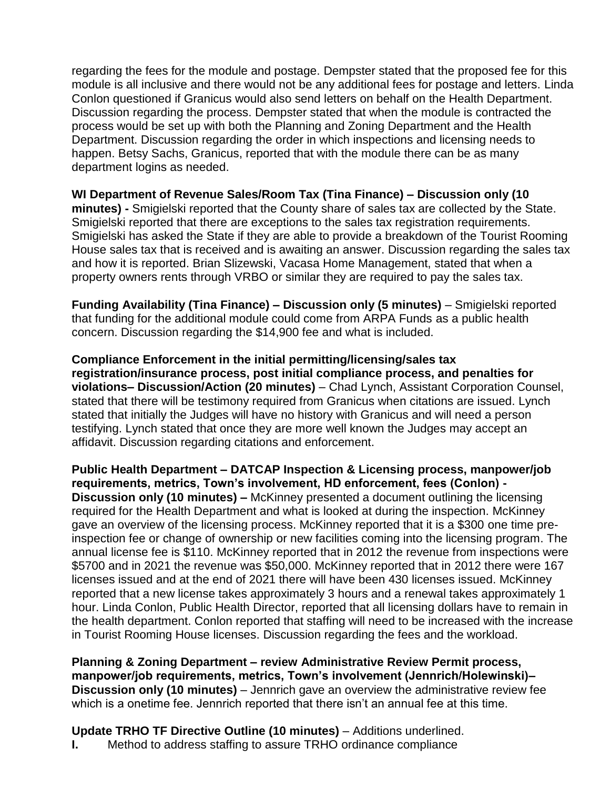regarding the fees for the module and postage. Dempster stated that the proposed fee for this module is all inclusive and there would not be any additional fees for postage and letters. Linda Conlon questioned if Granicus would also send letters on behalf on the Health Department. Discussion regarding the process. Dempster stated that when the module is contracted the process would be set up with both the Planning and Zoning Department and the Health Department. Discussion regarding the order in which inspections and licensing needs to happen. Betsy Sachs, Granicus, reported that with the module there can be as many department logins as needed.

**WI Department of Revenue Sales/Room Tax (Tina Finance) – Discussion only (10 minutes) -** Smigielski reported that the County share of sales tax are collected by the State. Smigielski reported that there are exceptions to the sales tax registration requirements. Smigielski has asked the State if they are able to provide a breakdown of the Tourist Rooming House sales tax that is received and is awaiting an answer. Discussion regarding the sales tax and how it is reported. Brian Slizewski, Vacasa Home Management, stated that when a property owners rents through VRBO or similar they are required to pay the sales tax.

**Funding Availability (Tina Finance) – Discussion only (5 minutes) – Smigielski reported** that funding for the additional module could come from ARPA Funds as a public health concern. Discussion regarding the \$14,900 fee and what is included.

**Compliance Enforcement in the initial permitting/licensing/sales tax registration/insurance process, post initial compliance process, and penalties for violations– Discussion/Action (20 minutes)** – Chad Lynch, Assistant Corporation Counsel, stated that there will be testimony required from Granicus when citations are issued. Lynch stated that initially the Judges will have no history with Granicus and will need a person testifying. Lynch stated that once they are more well known the Judges may accept an affidavit. Discussion regarding citations and enforcement.

**Public Health Department – DATCAP Inspection & Licensing process, manpower/job requirements, metrics, Town's involvement, HD enforcement, fees (Conlon) - Discussion only (10 minutes) –** McKinney presented a document outlining the licensing required for the Health Department and what is looked at during the inspection. McKinney gave an overview of the licensing process. McKinney reported that it is a \$300 one time preinspection fee or change of ownership or new facilities coming into the licensing program. The annual license fee is \$110. McKinney reported that in 2012 the revenue from inspections were \$5700 and in 2021 the revenue was \$50,000. McKinney reported that in 2012 there were 167 licenses issued and at the end of 2021 there will have been 430 licenses issued. McKinney reported that a new license takes approximately 3 hours and a renewal takes approximately 1 hour. Linda Conlon, Public Health Director, reported that all licensing dollars have to remain in the health department. Conlon reported that staffing will need to be increased with the increase in Tourist Rooming House licenses. Discussion regarding the fees and the workload.

**Planning & Zoning Department – review Administrative Review Permit process, manpower/job requirements, metrics, Town's involvement (Jennrich/Holewinski)– Discussion only (10 minutes)** – Jennrich gave an overview the administrative review fee which is a onetime fee. Jennrich reported that there isn't an annual fee at this time.

**Update TRHO TF Directive Outline (10 minutes)** – Additions underlined.

**I.** Method to address staffing to assure TRHO ordinance compliance